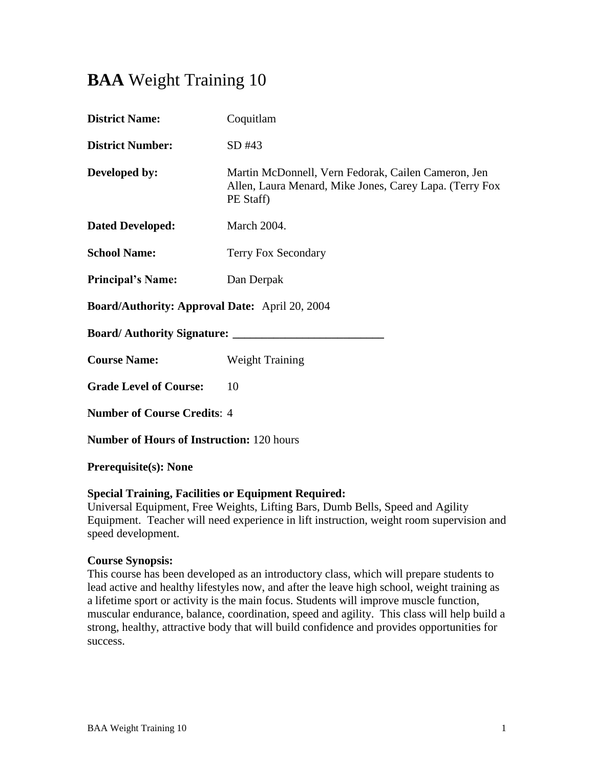# **BAA** Weight Training 10

| Coquitlam                                                                                                                   |  |  |  |
|-----------------------------------------------------------------------------------------------------------------------------|--|--|--|
| SD#43                                                                                                                       |  |  |  |
| Martin McDonnell, Vern Fedorak, Cailen Cameron, Jen<br>Allen, Laura Menard, Mike Jones, Carey Lapa. (Terry Fox<br>PE Staff) |  |  |  |
| March 2004.                                                                                                                 |  |  |  |
| Terry Fox Secondary                                                                                                         |  |  |  |
| Dan Derpak                                                                                                                  |  |  |  |
| <b>Board/Authority: Approval Date:</b> April 20, 2004                                                                       |  |  |  |
|                                                                                                                             |  |  |  |
| <b>Weight Training</b>                                                                                                      |  |  |  |
| 10                                                                                                                          |  |  |  |
| <b>Number of Course Credits: 4</b>                                                                                          |  |  |  |
| <b>Number of Hours of Instruction: 120 hours</b>                                                                            |  |  |  |
|                                                                                                                             |  |  |  |

#### **Prerequisite(s): None**

### **Special Training, Facilities or Equipment Required:**

Universal Equipment, Free Weights, Lifting Bars, Dumb Bells, Speed and Agility Equipment. Teacher will need experience in lift instruction, weight room supervision and speed development.

#### **Course Synopsis:**

This course has been developed as an introductory class, which will prepare students to lead active and healthy lifestyles now, and after the leave high school, weight training as a lifetime sport or activity is the main focus. Students will improve muscle function, muscular endurance, balance, coordination, speed and agility. This class will help build a strong, healthy, attractive body that will build confidence and provides opportunities for success.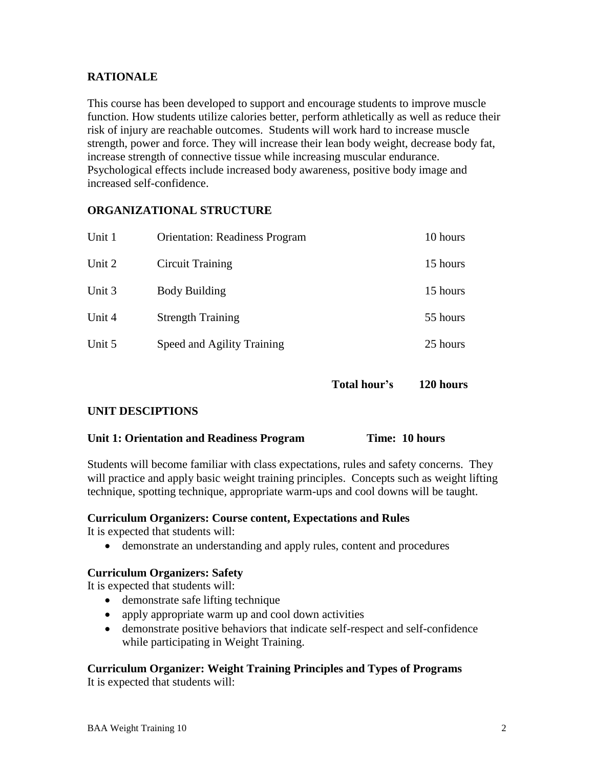# **RATIONALE**

This course has been developed to support and encourage students to improve muscle function. How students utilize calories better, perform athletically as well as reduce their risk of injury are reachable outcomes. Students will work hard to increase muscle strength, power and force. They will increase their lean body weight, decrease body fat, increase strength of connective tissue while increasing muscular endurance. Psychological effects include increased body awareness, positive body image and increased self-confidence.

# **ORGANIZATIONAL STRUCTURE**

| Unit 1 | <b>Orientation: Readiness Program</b> | 10 hours |
|--------|---------------------------------------|----------|
| Unit 2 | Circuit Training                      | 15 hours |
| Unit 3 | <b>Body Building</b>                  | 15 hours |
| Unit 4 | <b>Strength Training</b>              | 55 hours |
| Unit 5 | Speed and Agility Training            | 25 hours |

**Total hour's 120 hours**

# **UNIT DESCIPTIONS**

# **Unit 1: Orientation and Readiness Program Time: 10 hours**

Students will become familiar with class expectations, rules and safety concerns. They will practice and apply basic weight training principles. Concepts such as weight lifting technique, spotting technique, appropriate warm-ups and cool downs will be taught.

#### **Curriculum Organizers: Course content, Expectations and Rules**

It is expected that students will:

demonstrate an understanding and apply rules, content and procedures

#### **Curriculum Organizers: Safety**

It is expected that students will:

- demonstrate safe lifting technique
- apply appropriate warm up and cool down activities
- demonstrate positive behaviors that indicate self-respect and self-confidence while participating in Weight Training.

# **Curriculum Organizer: Weight Training Principles and Types of Programs**

It is expected that students will: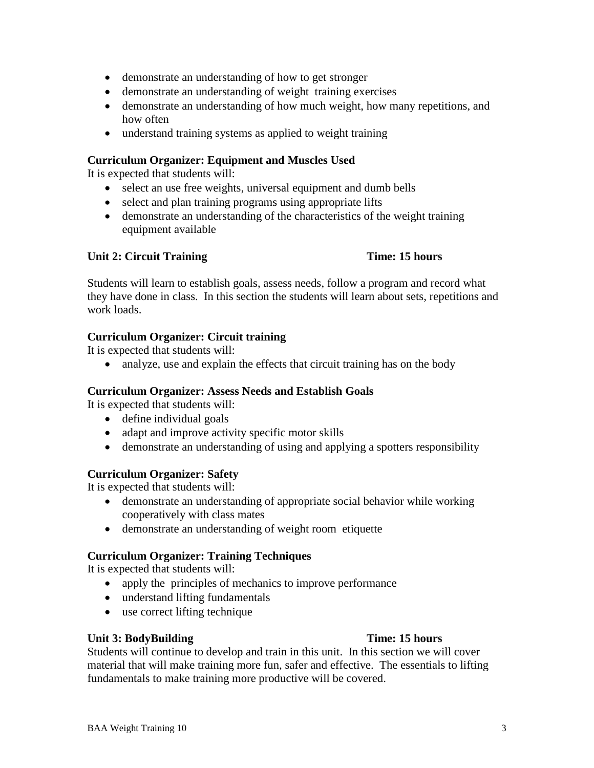- demonstrate an understanding of how to get stronger
- demonstrate an understanding of weight training exercises
- demonstrate an understanding of how much weight, how many repetitions, and how often
- understand training systems as applied to weight training

### **Curriculum Organizer: Equipment and Muscles Used**

It is expected that students will:

- select an use free weights, universal equipment and dumb bells
- select and plan training programs using appropriate lifts
- demonstrate an understanding of the characteristics of the weight training equipment available

### **Unit 2: Circuit Training Time: 15 hours**

Students will learn to establish goals, assess needs, follow a program and record what they have done in class. In this section the students will learn about sets, repetitions and work loads.

### **Curriculum Organizer: Circuit training**

It is expected that students will:

• analyze, use and explain the effects that circuit training has on the body

# **Curriculum Organizer: Assess Needs and Establish Goals**

It is expected that students will:

- define individual goals
- adapt and improve activity specific motor skills
- demonstrate an understanding of using and applying a spotters responsibility

#### **Curriculum Organizer: Safety**

It is expected that students will:

- demonstrate an understanding of appropriate social behavior while working cooperatively with class mates
- demonstrate an understanding of weight room etiquette

# **Curriculum Organizer: Training Techniques**

It is expected that students will:

- apply the principles of mechanics to improve performance
- understand lifting fundamentals
- use correct lifting technique

#### **Unit 3: BodyBuilding Time: 15 hours**

Students will continue to develop and train in this unit. In this section we will cover material that will make training more fun, safer and effective. The essentials to lifting fundamentals to make training more productive will be covered.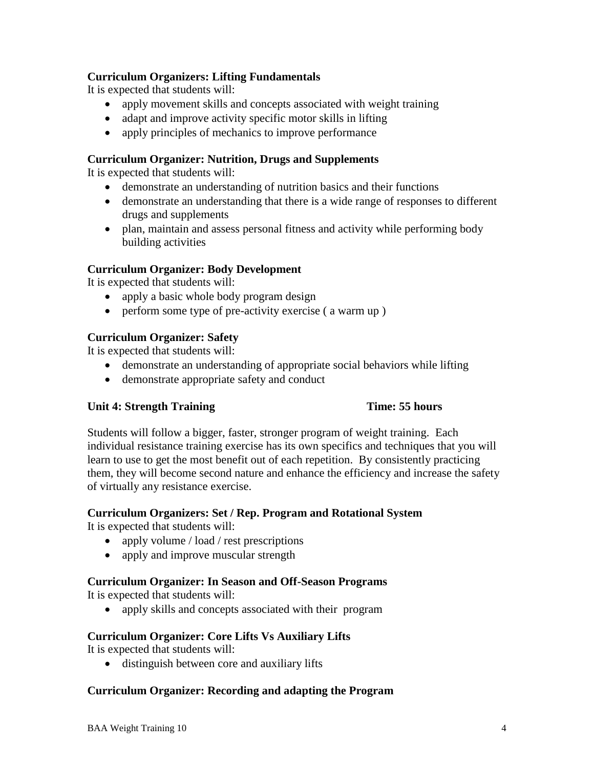# **Curriculum Organizers: Lifting Fundamentals**

It is expected that students will:

- apply movement skills and concepts associated with weight training
- adapt and improve activity specific motor skills in lifting
- apply principles of mechanics to improve performance

# **Curriculum Organizer: Nutrition, Drugs and Supplements**

It is expected that students will:

- demonstrate an understanding of nutrition basics and their functions
- demonstrate an understanding that there is a wide range of responses to different drugs and supplements
- plan, maintain and assess personal fitness and activity while performing body building activities

# **Curriculum Organizer: Body Development**

It is expected that students will:

- apply a basic whole body program design
- perform some type of pre-activity exercise ( a warm up )

# **Curriculum Organizer: Safety**

It is expected that students will:

- demonstrate an understanding of appropriate social behaviors while lifting
- demonstrate appropriate safety and conduct

# **Unit 4: Strength Training Time: 55 hours**

Students will follow a bigger, faster, stronger program of weight training. Each individual resistance training exercise has its own specifics and techniques that you will learn to use to get the most benefit out of each repetition. By consistently practicing them, they will become second nature and enhance the efficiency and increase the safety of virtually any resistance exercise.

# **Curriculum Organizers: Set / Rep. Program and Rotational System**

It is expected that students will:

- apply volume / load / rest prescriptions
- apply and improve muscular strength

# **Curriculum Organizer: In Season and Off-Season Programs**

It is expected that students will:

• apply skills and concepts associated with their program

# **Curriculum Organizer: Core Lifts Vs Auxiliary Lifts**

It is expected that students will:

• distinguish between core and auxiliary lifts

# **Curriculum Organizer: Recording and adapting the Program**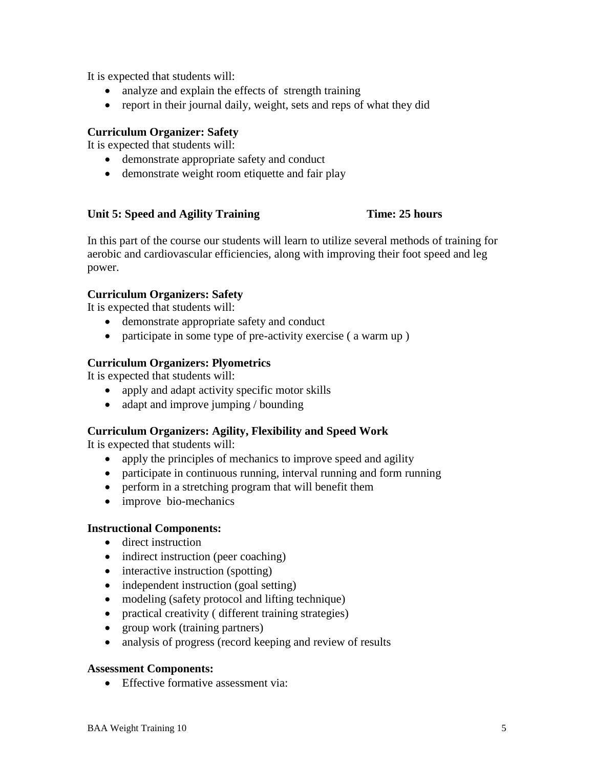It is expected that students will:

- analyze and explain the effects of strength training
- report in their journal daily, weight, sets and reps of what they did

### **Curriculum Organizer: Safety**

It is expected that students will:

- demonstrate appropriate safety and conduct
- demonstrate weight room etiquette and fair play

### **Unit 5: Speed and Agility Training Time: 25 hours**

In this part of the course our students will learn to utilize several methods of training for aerobic and cardiovascular efficiencies, along with improving their foot speed and leg power.

# **Curriculum Organizers: Safety**

It is expected that students will:

- demonstrate appropriate safety and conduct
- participate in some type of pre-activity exercise (a warm up)

### **Curriculum Organizers: Plyometrics**

It is expected that students will:

- apply and adapt activity specific motor skills
- adapt and improve jumping / bounding

#### **Curriculum Organizers: Agility, Flexibility and Speed Work**

It is expected that students will:

- apply the principles of mechanics to improve speed and agility
- participate in continuous running, interval running and form running
- perform in a stretching program that will benefit them
- improve bio-mechanics

#### **Instructional Components:**

- direct instruction
- indirect instruction (peer coaching)
- interactive instruction (spotting)
- independent instruction (goal setting)
- modeling (safety protocol and lifting technique)
- practical creativity ( different training strategies)
- group work (training partners)
- analysis of progress (record keeping and review of results

#### **Assessment Components:**

• Effective formative assessment via: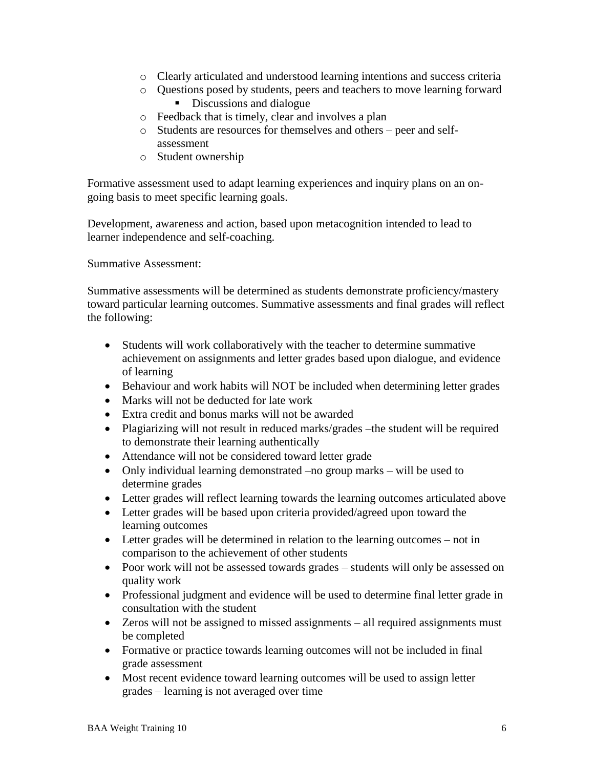- o Clearly articulated and understood learning intentions and success criteria
- o Questions posed by students, peers and teachers to move learning forward Discussions and dialogue
- o Feedback that is timely, clear and involves a plan
- o Students are resources for themselves and others peer and selfassessment
- o Student ownership

Formative assessment used to adapt learning experiences and inquiry plans on an ongoing basis to meet specific learning goals.

Development, awareness and action, based upon metacognition intended to lead to learner independence and self-coaching.

Summative Assessment:

Summative assessments will be determined as students demonstrate proficiency/mastery toward particular learning outcomes. Summative assessments and final grades will reflect the following:

- Students will work collaboratively with the teacher to determine summative achievement on assignments and letter grades based upon dialogue, and evidence of learning
- Behaviour and work habits will NOT be included when determining letter grades
- Marks will not be deducted for late work
- Extra credit and bonus marks will not be awarded
- Plagiarizing will not result in reduced marks/grades –the student will be required to demonstrate their learning authentically
- Attendance will not be considered toward letter grade
- Only individual learning demonstrated –no group marks will be used to determine grades
- Letter grades will reflect learning towards the learning outcomes articulated above
- Letter grades will be based upon criteria provided/agreed upon toward the learning outcomes
- Letter grades will be determined in relation to the learning outcomes not in comparison to the achievement of other students
- Poor work will not be assessed towards grades students will only be assessed on quality work
- Professional judgment and evidence will be used to determine final letter grade in consultation with the student
- Zeros will not be assigned to missed assignments all required assignments must be completed
- Formative or practice towards learning outcomes will not be included in final grade assessment
- Most recent evidence toward learning outcomes will be used to assign letter grades – learning is not averaged over time